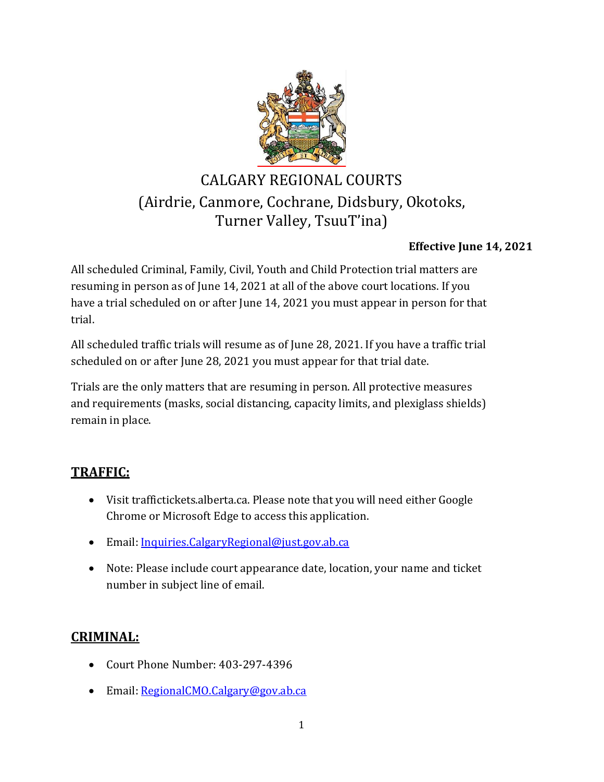

# CALGARY REGIONAL COURTS (Airdrie, Canmore, Cochrane, Didsbury, Okotoks, Turner Valley, TsuuT'ina)

## **Effective June 14, 2021**

All scheduled Criminal, Family, Civil, Youth and Child Protection trial matters are resuming in person as of June 14, 2021 at all of the above court locations. If you have a trial scheduled on or after June 14, 2021 you must appear in person for that trial.

All scheduled traffic trials will resume as of June 28, 2021. If you have a traffic trial scheduled on or after June 28, 2021 you must appear for that trial date.

Trials are the only matters that are resuming in person. All protective measures and requirements (masks, social distancing, capacity limits, and plexiglass shields) remain in place.

# **TRAFFIC:**

- Visit traffictickets.alberta.ca. Please note that you will need either Google Chrome or Microsoft Edge to access this application.
- Email: [Inquiries.CalgaryRegional@just.gov.ab.ca](mailto:Inquiries.CalgaryRegional@just.gov.ab.ca)
- Note: Please include court appearance date, location, your name and ticket number in subject line of email.

# **CRIMINAL:**

- Court Phone Number: 403-297-4396
- Email: [RegionalCMO.Calgary@gov.ab.ca](mailto:RegionalCMO.Calgary@gov.ab.ca)